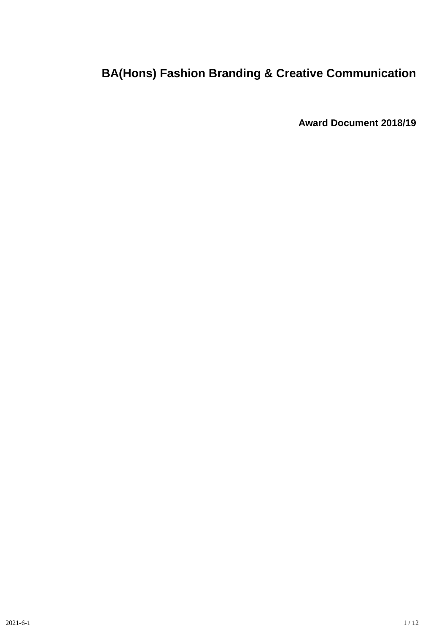# **BA(Hons) Fashion Branding & Creative Communication**

**Award Document 2018/19**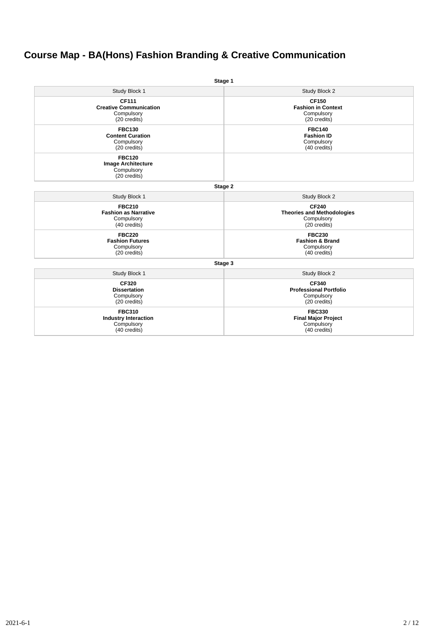# **Course Map - BA(Hons) Fashion Branding & Creative Communication**

| Stage 1                                                                     |                                                                                 |  |  |  |  |  |
|-----------------------------------------------------------------------------|---------------------------------------------------------------------------------|--|--|--|--|--|
| Study Block 1                                                               | Study Block 2                                                                   |  |  |  |  |  |
| <b>CF111</b><br><b>Creative Communication</b><br>Compulsory<br>(20 credits) | <b>CF150</b><br><b>Fashion in Context</b><br>Compulsory<br>(20 credits)         |  |  |  |  |  |
| <b>FBC130</b><br><b>Content Curation</b><br>Compulsory<br>(20 credits)      | <b>FBC140</b><br><b>Fashion ID</b><br>Compulsory<br>(40 credits)                |  |  |  |  |  |
| <b>FBC120</b><br><b>Image Architecture</b><br>Compulsory<br>(20 credits)    |                                                                                 |  |  |  |  |  |
| Stage 2                                                                     |                                                                                 |  |  |  |  |  |
| Study Block 1                                                               | Study Block 2                                                                   |  |  |  |  |  |
| <b>FBC210</b><br><b>Fashion as Narrative</b><br>Compulsory<br>(40 credits)  | <b>CF240</b><br><b>Theories and Methodologies</b><br>Compulsory<br>(20 credits) |  |  |  |  |  |
| <b>FBC220</b><br><b>Fashion Futures</b><br>Compulsory<br>(20 credits)       | <b>FBC230</b><br><b>Fashion &amp; Brand</b><br>Compulsory<br>(40 credits)       |  |  |  |  |  |
|                                                                             | Stage 3                                                                         |  |  |  |  |  |
| Study Block 1                                                               | Study Block 2                                                                   |  |  |  |  |  |
| <b>CF320</b><br><b>Dissertation</b><br>Compulsory<br>(20 credits)           | CF340<br><b>Professional Portfolio</b><br>Compulsory<br>(20 credits)            |  |  |  |  |  |
| <b>FBC310</b><br><b>Industry Interaction</b><br>Compulsory<br>(40 credits)  | <b>FBC330</b><br><b>Final Major Project</b><br>Compulsory<br>(40 credits)       |  |  |  |  |  |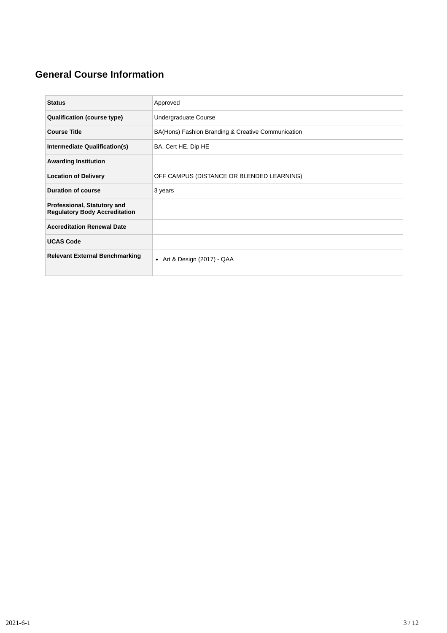# **General Course Information**

| <b>Status</b>                                                       | Approved                                           |
|---------------------------------------------------------------------|----------------------------------------------------|
| <b>Qualification (course type)</b>                                  | Undergraduate Course                               |
| <b>Course Title</b>                                                 | BA(Hons) Fashion Branding & Creative Communication |
| Intermediate Qualification(s)                                       | BA, Cert HE, Dip HE                                |
| <b>Awarding Institution</b>                                         |                                                    |
| <b>Location of Delivery</b>                                         | OFF CAMPUS (DISTANCE OR BLENDED LEARNING)          |
| <b>Duration of course</b>                                           | 3 years                                            |
| Professional, Statutory and<br><b>Regulatory Body Accreditation</b> |                                                    |
| <b>Accreditation Renewal Date</b>                                   |                                                    |
| <b>UCAS Code</b>                                                    |                                                    |
| <b>Relevant External Benchmarking</b>                               | • Art & Design $(2017)$ - QAA                      |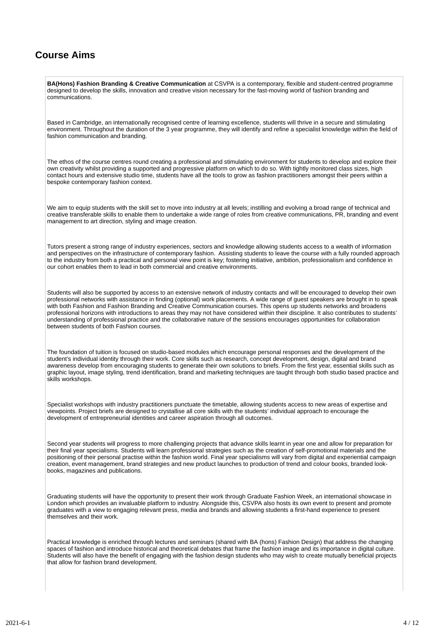# **Course Aims**

**BA(Hons) Fashion Branding & Creative Communication** at CSVPA is a contemporary, flexible and student-centred programme designed to develop the skills, innovation and creative vision necessary for the fast-moving world of fashion branding and communications.

Based in Cambridge, an internationally recognised centre of learning excellence, students will thrive in a secure and stimulating environment. Throughout the duration of the 3 year programme, they will identify and refine a specialist knowledge within the field of fashion communication and branding.

The ethos of the course centres round creating a professional and stimulating environment for students to develop and explore their own creativity whilst providing a supported and progressive platform on which to do so. With tightly monitored class sizes, high contact hours and extensive studio time, students have all the tools to grow as fashion practitioners amongst their peers within a bespoke contemporary fashion context.

We aim to equip students with the skill set to move into industry at all levels; instilling and evolving a broad range of technical and creative transferable skills to enable them to undertake a wide range of roles from creative communications, PR, branding and event management to art direction, styling and image creation.

Tutors present a strong range of industry experiences, sectors and knowledge allowing students access to a wealth of information and perspectives on the infrastructure of contemporary fashion. Assisting students to leave the course with a fully rounded approach to the industry from both a practical and personal view point is key; fostering initiative, ambition, professionalism and confidence in our cohort enables them to lead in both commercial and creative environments.

Students will also be supported by access to an extensive network of industry contacts and will be encouraged to develop their own professional networks with assistance in finding (optional) work placements. A wide range of guest speakers are brought in to speak with both Fashion and Fashion Branding and Creative Communication courses. This opens up students networks and broadens professional horizons with introductions to areas they may not have considered within their discipline. It also contributes to students' understanding of professional practice and the collaborative nature of the sessions encourages opportunities for collaboration between students of both Fashion courses.

The foundation of tuition is focused on studio-based modules which encourage personal responses and the development of the student's individual identity through their work. Core skills such as research, concept development, design, digital and brand awareness develop from encouraging students to generate their own solutions to briefs. From the first year, essential skills such as graphic layout, image styling, trend identification, brand and marketing techniques are taught through both studio based practice and skills workshops.

Specialist workshops with industry practitioners punctuate the timetable, allowing students access to new areas of expertise and viewpoints. Project briefs are designed to crystallise all core skills with the students' individual approach to encourage the development of entrepreneurial identities and career aspiration through all outcomes.

Second year students will progress to more challenging projects that advance skills learnt in year one and allow for preparation for their final year specialisms. Students will learn professional strategies such as the creation of self-promotional materials and the positioning of their personal practise within the fashion world. Final year specialisms will vary from digital and experiential campaign creation, event management, brand strategies and new product launches to production of trend and colour books, branded lookbooks, magazines and publications.

Graduating students will have the opportunity to present their work through Graduate Fashion Week, an international showcase in London which provides an invaluable platform to industry. Alongside this, CSVPA also hosts its own event to present and promote graduates with a view to engaging relevant press, media and brands and allowing students a first-hand experience to present themselves and their work.

Practical knowledge is enriched through lectures and seminars (shared with BA (hons) Fashion Design) that address the changing spaces of fashion and introduce historical and theoretical debates that frame the fashion image and its importance in digital culture. Students will also have the benefit of engaging with the fashion design students who may wish to create mutually beneficial projects that allow for fashion brand development.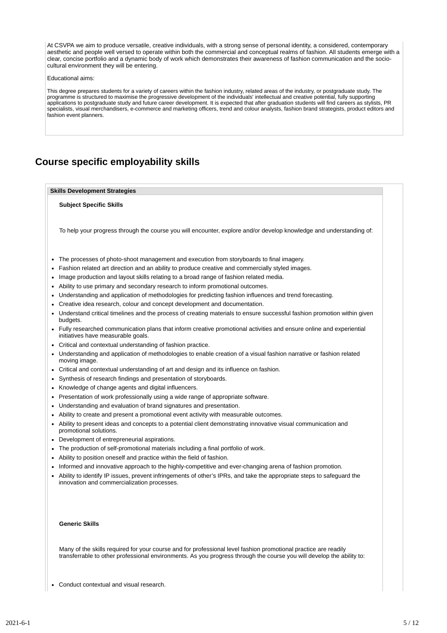At CSVPA we aim to produce versatile, creative individuals, with a strong sense of personal identity, a considered, contemporary aesthetic and people well versed to operate within both the commercial and conceptual realms of fashion. All students emerge with a clear, concise portfolio and a dynamic body of work which demonstrates their awareness of fashion communication and the sociocultural environment they will be entering.

Educational aims:

This degree prepares students for a variety of careers within the fashion industry, related areas of the industry, or postgraduate study. The programme is structured to maximise the progressive development of the individuals' intellectual and creative potential, fully supporting applications to postgraduate study and future career development. It is expected that after graduation students will find careers as stylists, PR specialists, visual merchandisers, e-commerce and marketing officers, trend and colour analysts, fashion brand strategists, product editors and fashion event planners.

# **Course specific employability skills**

#### **Skills Development Strategies**

**Subject Specific Skills**

To help your progress through the course you will encounter, explore and/or develop knowledge and understanding of:

- The processes of photo-shoot management and execution from storyboards to final imagery.
- Fashion related art direction and an ability to produce creative and commercially styled images.
- Image production and layout skills relating to a broad range of fashion related media.
- Ability to use primary and secondary research to inform promotional outcomes.
- Understanding and application of methodologies for predicting fashion influences and trend forecasting.
- Creative idea research, colour and concept development and documentation.
- Understand critical timelines and the process of creating materials to ensure successful fashion promotion within given budgets.
- Fully researched communication plans that inform creative promotional activities and ensure online and experiential initiatives have measurable goals.
- Critical and contextual understanding of fashion practice.
- Understanding and application of methodologies to enable creation of a visual fashion narrative or fashion related moving image.
- Critical and contextual understanding of art and design and its influence on fashion.
- Synthesis of research findings and presentation of storyboards.
- Knowledge of change agents and digital influencers.
- Presentation of work professionally using a wide range of appropriate software.
- Understanding and evaluation of brand signatures and presentation.
- Ability to create and present a promotional event activity with measurable outcomes.
- Ability to present ideas and concepts to a potential client demonstrating innovative visual communication and promotional solutions.
- Development of entrepreneurial aspirations.
- The production of self-promotional materials including a final portfolio of work.
- Ability to position oneself and practice within the field of fashion.
- Informed and innovative approach to the highly-competitive and ever-changing arena of fashion promotion.
- Ability to identify IP issues, prevent infringements of other's IPRs, and take the appropriate steps to safeguard the innovation and commercialization processes.

### **Generic Skills**

Many of the skills required for your course and for professional level fashion promotional practice are readily transferrable to other professional environments. As you progress through the course you will develop the ability to:

Conduct contextual and visual research.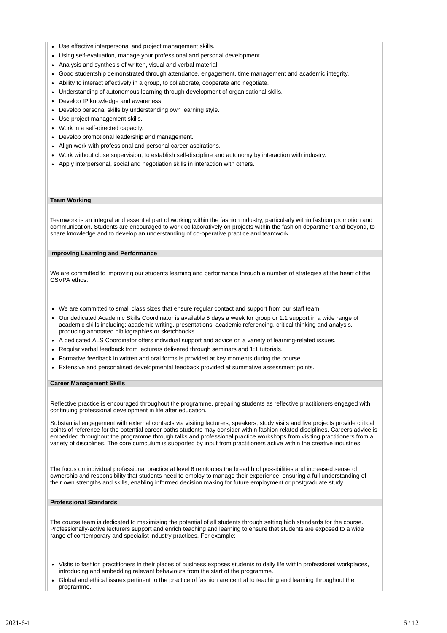- Use effective interpersonal and project management skills.
- Using self-evaluation, manage your professional and personal development.
- Analysis and synthesis of written, visual and verbal material.
- Good studentship demonstrated through attendance, engagement, time management and academic integrity.
- Ability to interact effectively in a group, to collaborate, cooperate and negotiate.
- Understanding of autonomous learning through development of organisational skills.
- Develop IP knowledge and awareness.
- Develop personal skills by understanding own learning style.
- Use project management skills.
- Work in a self-directed capacity.
- Develop promotional leadership and management.
- Align work with professional and personal career aspirations.
- Work without close supervision, to establish self-discipline and autonomy by interaction with industry.
- Apply interpersonal, social and negotiation skills in interaction with others.

#### **Team Working**

Teamwork is an integral and essential part of working within the fashion industry, particularly within fashion promotion and communication. Students are encouraged to work collaboratively on projects within the fashion department and beyond, to share knowledge and to develop an understanding of co-operative practice and teamwork.

#### **Improving Learning and Performance**

We are committed to improving our students learning and performance through a number of strategies at the heart of the CSVPA ethos.

- We are committed to small class sizes that ensure regular contact and support from our staff team.
- Our dedicated Academic Skills Coordinator is available 5 days a week for group or 1:1 support in a wide range of academic skills including: academic writing, presentations, academic referencing, critical thinking and analysis, producing annotated bibliographies or sketchbooks.
- A dedicated ALS Coordinator offers individual support and advice on a variety of learning-related issues.
- Regular verbal feedback from lecturers delivered through seminars and 1:1 tutorials.
- Formative feedback in written and oral forms is provided at key moments during the course.
- Extensive and personalised developmental feedback provided at summative assessment points.

#### **Career Management Skills**

Reflective practice is encouraged throughout the programme, preparing students as reflective practitioners engaged with continuing professional development in life after education.

Substantial engagement with external contacts via visiting lecturers, speakers, study visits and live projects provide critical points of reference for the potential career paths students may consider within fashion related disciplines. Careers advice is embedded throughout the programme through talks and professional practice workshops from visiting practitioners from a variety of disciplines. The core curriculum is supported by input from practitioners active within the creative industries.

The focus on individual professional practice at level 6 reinforces the breadth of possibilities and increased sense of ownership and responsibility that students need to employ to manage their experience, ensuring a full understanding of their own strengths and skills, enabling informed decision making for future employment or postgraduate study.

#### **Professional Standards**

The course team is dedicated to maximising the potential of all students through setting high standards for the course. Professionally-active lecturers support and enrich teaching and learning to ensure that students are exposed to a wide range of contemporary and specialist industry practices. For example;

- Visits to fashion practitioners in their places of business exposes students to daily life within professional workplaces, introducing and embedding relevant behaviours from the start of the programme.
- Global and ethical issues pertinent to the practice of fashion are central to teaching and learning throughout the programme.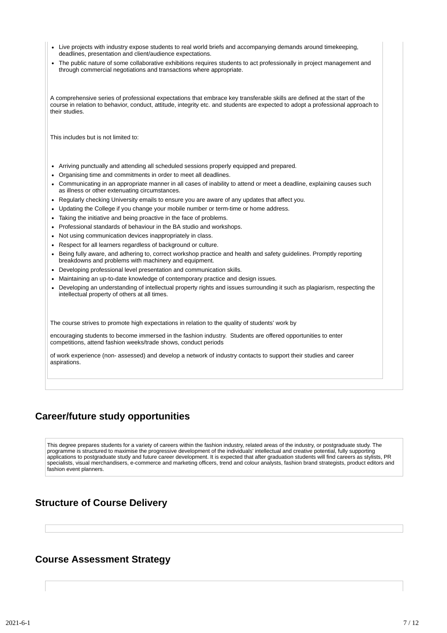- Live projects with industry expose students to real world briefs and accompanying demands around timekeeping, deadlines, presentation and client/audience expectations.
- The public nature of some collaborative exhibitions requires students to act professionally in project management and through commercial negotiations and transactions where appropriate.

A comprehensive series of professional expectations that embrace key transferable skills are defined at the start of the course in relation to behavior, conduct, attitude, integrity etc. and students are expected to adopt a professional approach to their studies.

This includes but is not limited to:

- Arriving punctually and attending all scheduled sessions properly equipped and prepared.
- Organising time and commitments in order to meet all deadlines.
- Communicating in an appropriate manner in all cases of inability to attend or meet a deadline, explaining causes such as illness or other extenuating circumstances.
- Regularly checking University emails to ensure you are aware of any updates that affect you.
- Updating the College if you change your mobile number or term-time or home address.
- Taking the initiative and being proactive in the face of problems.
- Professional standards of behaviour in the BA studio and workshops.
- Not using communication devices inappropriately in class.
- Respect for all learners regardless of background or culture.
- Being fully aware, and adhering to, correct workshop practice and health and safety guidelines. Promptly reporting breakdowns and problems with machinery and equipment.
- Developing professional level presentation and communication skills.
- Maintaining an up-to-date knowledge of contemporary practice and design issues.
- Developing an understanding of intellectual property rights and issues surrounding it such as plagiarism, respecting the  $\bullet$ intellectual property of others at all times.

The course strives to promote high expectations in relation to the quality of students' work by

encouraging students to become immersed in the fashion industry. Students are offered opportunities to enter competitions, attend fashion weeks/trade shows, conduct periods

of work experience (non- assessed) and develop a network of industry contacts to support their studies and career aspirations.

# **Career/future study opportunities**

This degree prepares students for a variety of careers within the fashion industry, related areas of the industry, or postgraduate study. The programme is structured to maximise the progressive development of the individuals' intellectual and creative potential, fully supporting applications to postgraduate study and future career development. It is expected that after graduation students will find careers as stylists, PR specialists, visual merchandisers, e-commerce and marketing officers, trend and colour analysts, fashion brand strategists, product editors and fashion event planners.

## **Structure of Course Delivery**

## **Course Assessment Strategy**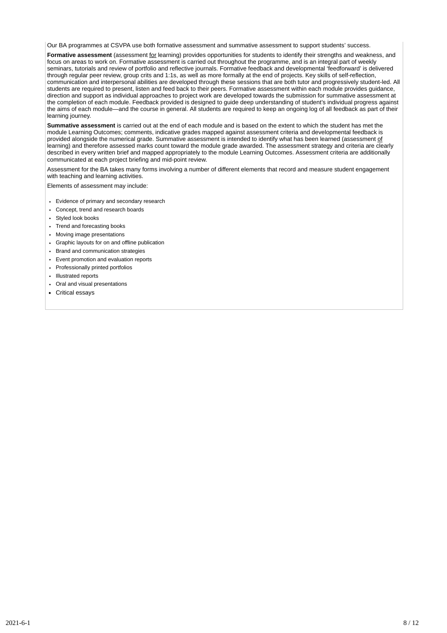Our BA programmes at CSVPA use both formative assessment and summative assessment to support students' success.

**Formative assessment** (assessment for learning) provides opportunities for students to identify their strengths and weakness, and focus on areas to work on. Formative assessment is carried out throughout the programme, and is an integral part of weekly seminars, tutorials and review of portfolio and reflective journals. Formative feedback and developmental 'feedforward' is delivered through regular peer review, group crits and 1:1s, as well as more formally at the end of projects. Key skills of self-reflection, communication and interpersonal abilities are developed through these sessions that are both tutor and progressively student-led. All students are required to present, listen and feed back to their peers. Formative assessment within each module provides guidance, direction and support as individual approaches to project work are developed towards the submission for summative assessment at the completion of each module. Feedback provided is designed to guide deep understanding of student's individual progress against the aims of each module—and the course in general. All students are required to keep an ongoing log of all feedback as part of their learning journey.

**Summative assessment** is carried out at the end of each module and is based on the extent to which the student has met the module Learning Outcomes; comments, indicative grades mapped against assessment criteria and developmental feedback is provided alongside the numerical grade. Summative assessment is intended to identify what has been learned (assessment of learning) and therefore assessed marks count toward the module grade awarded. The assessment strategy and criteria are clearly described in every written brief and mapped appropriately to the module Learning Outcomes. Assessment criteria are additionally communicated at each project briefing and mid-point review.

Assessment for the BA takes many forms involving a number of different elements that record and measure student engagement with teaching and learning activities.

Elements of assessment may include:

- Evidence of primary and secondary research
- Concept, trend and research boards
- Styled look books
- Trend and forecasting books
- Moving image presentations
- Graphic layouts for on and offline publication
- Brand and communication strategies
- Event promotion and evaluation reports
- Professionally printed portfolios
- Illustrated reports
- Oral and visual presentations
- Critical essays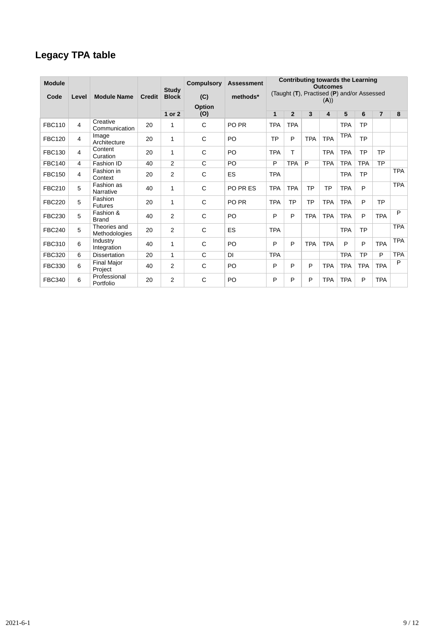# **Legacy TPA table**

| <b>Module</b> |                |                               |        | Study          | <b>Compulsory</b> | <b>Assessment</b> | <b>Contributing towards the Learning</b><br><b>Outcomes</b> |                                                    |            |                |            |            |                |            |
|---------------|----------------|-------------------------------|--------|----------------|-------------------|-------------------|-------------------------------------------------------------|----------------------------------------------------|------------|----------------|------------|------------|----------------|------------|
| Code          | Level          | <b>Module Name</b>            | Credit | <b>Block</b>   | (C)<br>Option     | methods*          |                                                             | (Taught (T), Practised (P) and/or Assessed<br>(A)) |            |                |            |            |                |            |
|               |                |                               |        | 1 or 2         | (O)               |                   | $\mathbf{1}$                                                | $\overline{2}$                                     | 3          | $\overline{a}$ | 5          | 6          | $\overline{7}$ | 8          |
| <b>FBC110</b> | $\overline{4}$ | Creative<br>Communication     | 20     | 1              | C                 | PO <sub>PR</sub>  | <b>TPA</b>                                                  | <b>TPA</b>                                         |            |                | <b>TPA</b> | TP         |                |            |
| <b>FBC120</b> | 4              | Image<br>Architecture         | 20     | 1              | $\mathsf{C}$      | P <sub>O</sub>    | <b>TP</b>                                                   | P                                                  | <b>TPA</b> | <b>TPA</b>     | <b>TPA</b> | <b>TP</b>  |                |            |
| <b>FBC130</b> | 4              | Content<br>Curation           | 20     | $\mathbf{1}$   | $\mathsf{C}$      | P <sub>O</sub>    | <b>TPA</b>                                                  | T                                                  |            | <b>TPA</b>     | <b>TPA</b> | <b>TP</b>  | TP             |            |
| <b>FBC140</b> | 4              | Fashion ID                    | 40     | $\overline{2}$ | C                 | P <sub>O</sub>    | P                                                           | <b>TPA</b>                                         | P          | <b>TPA</b>     | <b>TPA</b> | <b>TPA</b> | <b>TP</b>      |            |
| <b>FBC150</b> | 4              | Fashion in<br>Context         | 20     | $\overline{2}$ | $\mathsf{C}$      | ES                | <b>TPA</b>                                                  |                                                    |            |                | <b>TPA</b> | <b>TP</b>  |                | <b>TPA</b> |
| <b>FBC210</b> | 5              | Fashion as<br>Narrative       | 40     | 1              | $\mathsf{C}$      | PO PRES           | <b>TPA</b>                                                  | <b>TPA</b>                                         | <b>TP</b>  | <b>TP</b>      | <b>TPA</b> | P          |                | <b>TPA</b> |
| <b>FBC220</b> | 5              | Fashion<br><b>Futures</b>     | 20     | $\mathbf{1}$   | $\mathsf{C}$      | PO <sub>PR</sub>  | <b>TPA</b>                                                  | <b>TP</b>                                          | <b>TP</b>  | <b>TPA</b>     | <b>TPA</b> | P          | <b>TP</b>      |            |
| <b>FBC230</b> | 5              | Fashion &<br><b>Brand</b>     | 40     | $\overline{c}$ | $\mathsf{C}$      | P <sub>O</sub>    | P                                                           | P                                                  | <b>TPA</b> | <b>TPA</b>     | <b>TPA</b> | P          | <b>TPA</b>     | P          |
| <b>FBC240</b> | 5              | Theories and<br>Methodologies | 20     | $\overline{c}$ | C                 | <b>ES</b>         | <b>TPA</b>                                                  |                                                    |            |                | <b>TPA</b> | <b>TP</b>  |                | <b>TPA</b> |
| <b>FBC310</b> | 6              | Industry<br>Integration       | 40     | 1              | $\mathsf{C}$      | P <sub>O</sub>    | P                                                           | P                                                  | <b>TPA</b> | <b>TPA</b>     | P          | P          | <b>TPA</b>     | <b>TPA</b> |
| <b>FBC320</b> | 6              | <b>Dissertation</b>           | 20     | $\mathbf{1}$   | C                 | <b>DI</b>         | <b>TPA</b>                                                  |                                                    |            |                | <b>TPA</b> | <b>TP</b>  | P              | <b>TPA</b> |
| <b>FBC330</b> | 6              | <b>Final Major</b><br>Project | 40     | $\overline{c}$ | C                 | PO                | P                                                           | P                                                  | P          | <b>TPA</b>     | <b>TPA</b> | <b>TPA</b> | <b>TPA</b>     | P          |
| <b>FBC340</b> | 6              | Professional<br>Portfolio     | 20     | $\overline{2}$ | C                 | P <sub>O</sub>    | P                                                           | P                                                  | P          | <b>TPA</b>     | <b>TPA</b> | P          | <b>TPA</b>     |            |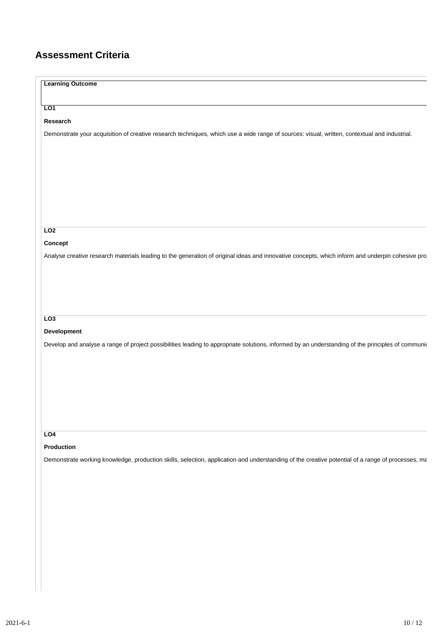# **Assessment Criteria**

| <b>Learning Outcome</b>                                                                                                                           |
|---------------------------------------------------------------------------------------------------------------------------------------------------|
|                                                                                                                                                   |
| L01                                                                                                                                               |
| Research                                                                                                                                          |
| Demonstrate your acquisition of creative research techniques, which use a wide range of sources: visual, written, contextual and industrial.      |
|                                                                                                                                                   |
|                                                                                                                                                   |
|                                                                                                                                                   |
|                                                                                                                                                   |
|                                                                                                                                                   |
|                                                                                                                                                   |
|                                                                                                                                                   |
|                                                                                                                                                   |
| LO2                                                                                                                                               |
| Concept                                                                                                                                           |
| Analyse creative research materials leading to the generation of original ideas and innovative concepts, which inform and underpin cohesive pro   |
|                                                                                                                                                   |
|                                                                                                                                                   |
|                                                                                                                                                   |
|                                                                                                                                                   |
| LO3                                                                                                                                               |
| Development                                                                                                                                       |
| Develop and analyse a range of project possibilities leading to appropriate solutions, informed by an understanding of the principles of communic |
|                                                                                                                                                   |
|                                                                                                                                                   |
|                                                                                                                                                   |
|                                                                                                                                                   |
|                                                                                                                                                   |
|                                                                                                                                                   |
|                                                                                                                                                   |
| LO4                                                                                                                                               |
| Production                                                                                                                                        |
|                                                                                                                                                   |
| Demonstrate working knowledge, production skills, selection, application and understanding of the creative potential of a range of processes, ma  |
|                                                                                                                                                   |
|                                                                                                                                                   |
|                                                                                                                                                   |
|                                                                                                                                                   |
|                                                                                                                                                   |
|                                                                                                                                                   |
|                                                                                                                                                   |
|                                                                                                                                                   |
|                                                                                                                                                   |